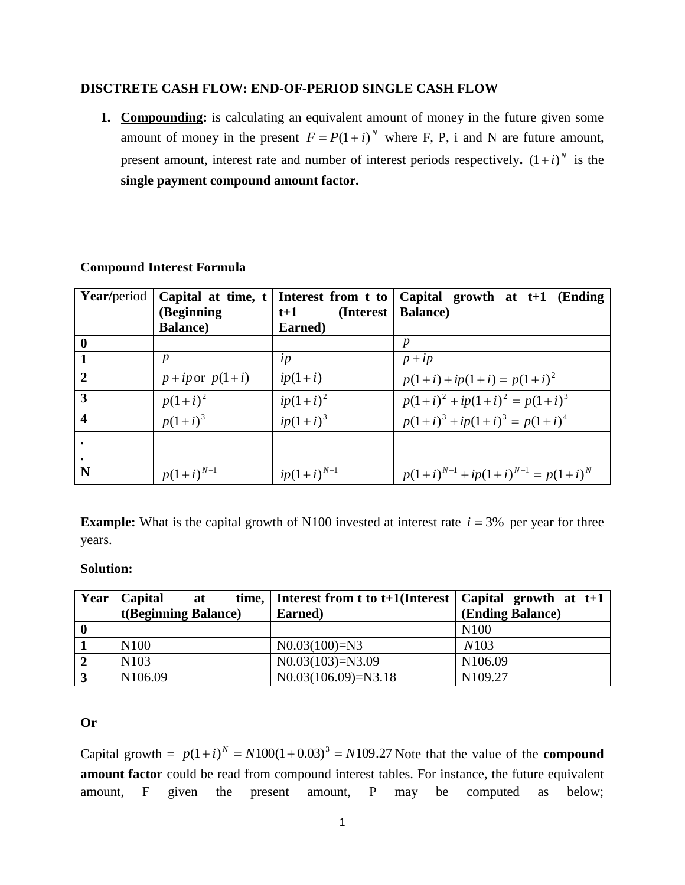# **DISCTRETE CASH FLOW: END-OF-PERIOD SINGLE CASH FLOW**

**1. Compounding:** is calculating an equivalent amount of money in the future given some amount of money in the present  $F = P(1 + i)^N$  where F, P, i and N are future amount, present amount, interest rate and number of interest periods respectively.  $(1+i)^N$  is the **single payment compound amount factor.**

| <b>Year/period</b>      | Capital at time, t    |                     | Interest from t to $\vert$ Capital growth at t+1 (Ending |  |
|-------------------------|-----------------------|---------------------|----------------------------------------------------------|--|
|                         | (Beginning            | (Interest)<br>$t+1$ | <b>Balance</b> )                                         |  |
|                         | <b>Balance</b> )      | Earned)             |                                                          |  |
| $\bf{0}$                |                       |                     | p                                                        |  |
| $\overline{1}$          | $\boldsymbol{p}$      | $\iota p$           | $p + i p$                                                |  |
| $\overline{2}$          | $p + i p$ or $p(1+i)$ | $ip(1+i)$           | $p(1+i) + ip(1+i) = p(1+i)^2$                            |  |
| $\overline{3}$          | $p(1+i)^2$            | $ip(1+i)^2$         | $p(1+i)^2 + ip(1+i)^2 = p(1+i)^3$                        |  |
| $\overline{\mathbf{4}}$ | $p(1+i)^3$            | $ip(1+i)^3$         | $p(1+i)^3 + ip(1+i)^3 = p(1+i)^4$                        |  |
|                         |                       |                     |                                                          |  |
|                         |                       |                     |                                                          |  |
| N                       | $p(1+i)^{N-1}$        | $ip(1+i)^{N-1}$     | $p(1+i)^{N-1} + ip(1+i)^{N-1} = p(1+i)^N$                |  |

## **Compound Interest Formula**

**Example:** What is the capital growth of N100 invested at interest rate  $i = 3\%$  per year for three years.

# **Solution:**

| Year     | Capital<br>at        | time,   Interest from t to t+1(Interest   Capital growth at $t+1$ |                     |
|----------|----------------------|-------------------------------------------------------------------|---------------------|
|          | t(Beginning Balance) | Earned)                                                           | (Ending Balance)    |
| $\bf{0}$ |                      |                                                                   | N <sub>100</sub>    |
|          | N <sub>100</sub>     | $N0.03(100)=N3$                                                   | N <sub>10</sub> 3   |
|          | N <sub>103</sub>     | $N0.03(103) = N3.09$                                              | N106.09             |
|          | N <sub>106.09</sub>  | $N0.03(106.09)=N3.18$                                             | N <sub>109.27</sub> |

### **Or**

Capital growth =  $p(1+i)^N = N100(1+0.03)^3 = N109.27$  Note that the value of the **compound amount factor** could be read from compound interest tables. For instance, the future equivalent amount, F given the present amount, P may be computed as below;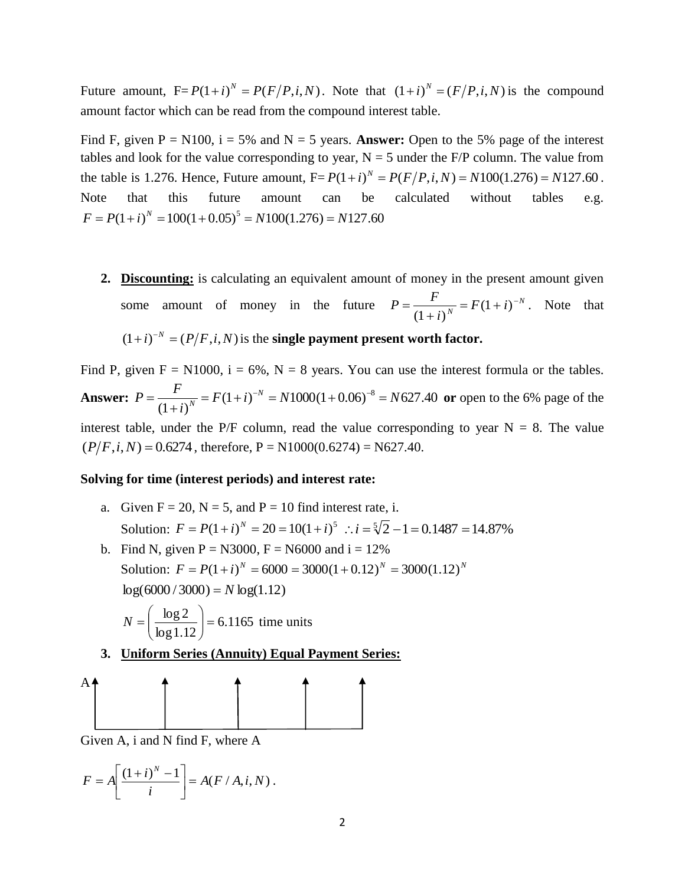Future amount,  $F = P(1 + i)^N = P(F/P, i, N)$ . Note that  $(1 + i)^N = (F/P, i, N)$  is the compound amount factor which can be read from the compound interest table.

Find F, given  $P = N100$ ,  $i = 5\%$  and  $N = 5$  years. **Answer:** Open to the 5% page of the interest tables and look for the value corresponding to year,  $N = 5$  under the F/P column. The value from the table is 1.276. Hence, Future amount,  $F = P(1 + i)^N = P(F/P, i, N) = N100(1.276) = N127.60$ . Note that this future amount can be calculated without tables e.g.  $F = P(1 + i)^N = 100(1 + 0.05)^5 = N100(1.276) = N127.60$ 

**2. Discounting:** is calculating an equivalent amount of money in the present amount given some amount of money in the future  $P = \frac{F}{(1+i)^{N}} = F(1+i)^{-N}$  $\frac{1}{N}$  =  $F(1+i)$ *i*  $P = \frac{F}{(1+i)^{N}} = F(1+i)^{-1}$  $^{+}$  $=\frac{1}{(1+i)^{N}}$  $(1 + i)$ . Note that

 $(1+i)^{-N} = (P/F, i, N)$  is the **single payment present worth factor.** 

Find P, given  $F = N1000$ ,  $i = 6\%$ ,  $N = 8$  years. You can use the interest formula or the tables. **Answer:**  $P = \frac{1}{(1+i)^{N}} = F(1+i)^{-N} = N1000(1+0.06)^{-8} = N627.40$  $(1 + i)$  $F(1+i)^{-N} = N1000(1+0.06)^{-8} = N$ *i*  $P = \frac{F}{(1+i)^{N}} = F(1+i)^{-N}$  $\overline{N}$  =  $F(1+i)^{-N}$  =  $N1000(1+0.06)^{-8}$  =  $\ddot{}$  $=\frac{F}{(1+i)^{N}}$  =  $F(1+i)^{-N}$  =  $N1000(1+0.06)^{-8}$  =  $N627.40$  or open to the 6% page of the interest table, under the P/F column, read the value corresponding to year  $N = 8$ . The value  $(P/F, i, N) = 0.6274$ , therefore, P = N1000(0.6274) = N627.40.

#### **Solving for time (interest periods) and interest rate:**

- a. Given  $F = 20$ ,  $N = 5$ , and  $P = 10$  find interest rate, i. Solution:  $F = P(1 + i)^N = 20 = 10(1 + i)^5$   $\therefore i = \sqrt[5]{2} - 1 = 0.1487 = 14.87\%$
- b. Find N, given  $P = N3000$ ,  $F = N6000$  and  $i = 12\%$ Solution:  $F = P(1 + i)^N = 6000 = 3000(1 + 0.12)^N = 3000(1.12)^N$  $log(6000 / 3000) = N log(1.12)$

$$
N = \left(\frac{\log 2}{\log 1.12}\right) = 6.1165
$$
 time units

**3. Uniform Series (Annuity) Equal Payment Series:**

$$
\begin{array}{c}\n\uparrow \\
\hline\n\end{array}
$$

Given A, i and N find F, where A

$$
F = A \left[ \frac{(1+i)^N - 1}{i} \right] = A(F / A, i, N).
$$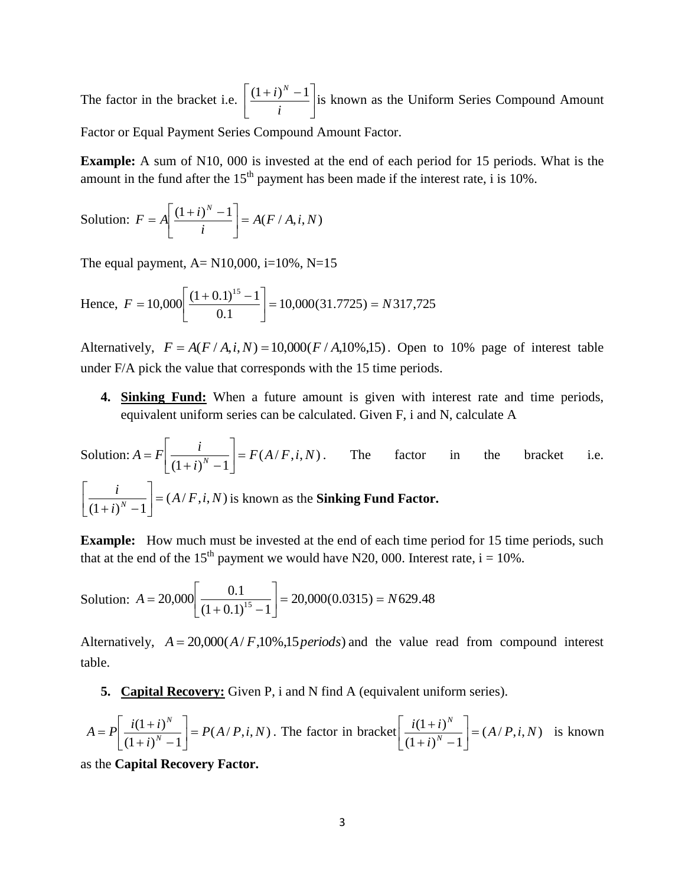The factor in the bracket i.e.  $\left| \frac{(1+i)^{n}}{i} \right|$ J  $\overline{\phantom{a}}$  $\mathbf{r}$ L  $(1+i)^N$ *i*  $\left( \frac{(1+i)^N - 1}{n} \right]$  is known as the Uniform Series Compound Amount Factor or Equal Payment Series Compound Amount Factor.

**Example:** A sum of N10, 000 is invested at the end of each period for 15 periods. What is the amount in the fund after the  $15<sup>th</sup>$  payment has been made if the interest rate, i is 10%.

Solution: 
$$
F = A \left[ \frac{(1+i)^N - 1}{i} \right] = A(F/A, i, N)
$$

The equal payment,  $A = N10,000$ ,  $i=10\%$ ,  $N=15$ 

Hence, 
$$
F = 10,000 \left[ \frac{(1+0.1)^{15}-1}{0.1} \right] = 10,000(31.7725) = N317,725
$$

Alternatively,  $F = A(F/A, i, N) = 10,000(F/A, 10\%, 15)$ . Open to 10% page of interest table under F/A pick the value that corresponds with the 15 time periods.

**4. Sinking Fund:** When a future amount is given with interest rate and time periods, equivalent uniform series can be calculated. Given F, i and N, calculate A

Solution:  $A = F \left( \frac{i}{(1 - i)^N} \right) = F(A/F, i, N)$  $(1 + i)^{N} - 1$  $F(A/F, i, N)$ *i*  $A = F\left[\frac{i}{(1+i)^N - 1}\right] =$  $\overline{\phantom{a}}$  $\overline{\mathsf{L}}$  $\overline{ }$  $(i)^{N}$  –  $= F\left[\frac{i}{(1-i)^{N}}\right] = F(A/F,i,N)$ . The factor in the bracket i.e.  $(A/F, i, N)$  $(1 + i)^N - 1$  $A/F, i, N$ *i i*  $\left[\frac{N}{N-1}\right]$  =  $\overline{\phantom{a}}$  $\overline{\phantom{a}}$  $\mathsf{L}$  $(i)^N$ is known as the **Sinking Fund Factor.**

**Example:** How much must be invested at the end of each time period for 15 time periods, such that at the end of the 15<sup>th</sup> payment we would have N20, 000. Interest rate,  $i = 10\%$ .

Solution: 
$$
A = 20,000 \left[ \frac{0.1}{(1 + 0.1)^{15} - 1} \right] = 20,000(0.0315) = N629.48
$$

Alternatively,  $A = 20,000(A/F,10\%,15\,periods)$  and the value read from compound interest table.

**5. Capital Recovery:** Given P, i and N find A (equivalent uniform series).

$$
A = P\left[\frac{i(1+i)^N}{(1+i)^N - 1}\right] = P(A/P, i, N)
$$
. The factor in bracket  $\left[\frac{i(1+i)^N}{(1+i)^N - 1}\right] = (A/P, i, N)$  is known

as the **Capital Recovery Factor.**